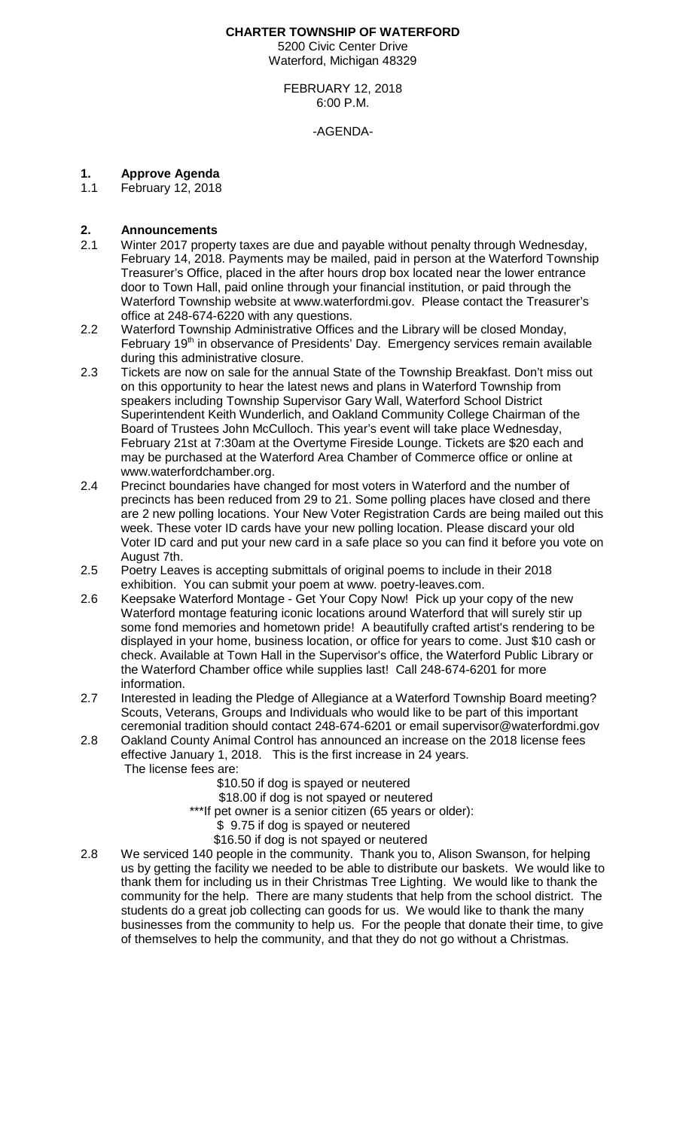### **CHARTER TOWNSHIP OF WATERFORD**

5200 Civic Center Drive Waterford, Michigan 48329

FEBRUARY 12, 2018 6:00 P.M.

-AGENDA-

## **1. Approve Agenda**

February 12, 2018

## **2. Announcements**

- Winter 2017 property taxes are due and payable without penalty through Wednesday, February 14, 2018. Payments may be mailed, paid in person at the Waterford Township Treasurer's Office, placed in the after hours drop box located near the lower entrance door to Town Hall, paid online through your financial institution, or paid through the Waterford Township website at www.waterfordmi.gov. Please contact the Treasurer's office at 248-674-6220 with any questions.
- 2.2 Waterford Township Administrative Offices and the Library will be closed Monday, February 19<sup>th</sup> in observance of Presidents' Day. Emergency services remain available during this administrative closure.
- 2.3 Tickets are now on sale for the annual State of the Township Breakfast. Don't miss out on this opportunity to hear the latest news and plans in Waterford Township from speakers including Township Supervisor Gary Wall, Waterford School District Superintendent Keith Wunderlich, and Oakland Community College Chairman of the Board of Trustees John McCulloch. This year's event will take place Wednesday, February 21st at 7:30am at the Overtyme Fireside Lounge. Tickets are \$20 each and may be purchased at the Waterford Area Chamber of Commerce office or online at www.waterfordchamber.org.
- 2.4 Precinct boundaries have changed for most voters in Waterford and the number of precincts has been reduced from 29 to 21. Some polling places have closed and there are 2 new polling locations. Your New Voter Registration Cards are being mailed out this week. These voter ID cards have your new polling location. Please discard your old Voter ID card and put your new card in a safe place so you can find it before you vote on August 7th.
- 2.5 Poetry Leaves is accepting submittals of original poems to include in their 2018 exhibition. You can submit your poem at www. poetry-leaves.com.
- 2.6 Keepsake Waterford Montage Get Your Copy Now! Pick up your copy of the new Waterford montage featuring iconic locations around Waterford that will surely stir up some fond memories and hometown pride! A beautifully crafted artist's rendering to be displayed in your home, business location, or office for years to come. Just \$10 cash or check. Available at Town Hall in the Supervisor's office, the Waterford Public Library or the Waterford Chamber office while supplies last! Call 248-674-6201 for more information.
- 2.7 Interested in leading the Pledge of Allegiance at a Waterford Township Board meeting? Scouts, Veterans, Groups and Individuals who would like to be part of this important ceremonial tradition should contact 248-674-6201 or email supervisor@waterfordmi.gov
- 2.8 Oakland County Animal Control has announced an increase on the 2018 license fees effective January 1, 2018. This is the first increase in 24 years. The license fees are:
	- \$10.50 if dog is spayed or neutered

\$18.00 if dog is not spayed or neutered

\*\*\*If pet owner is a senior citizen (65 years or older):

- \$9.75 if dog is spayed or neutered
- \$16.50 if dog is not spayed or neutered
- 2.8 We serviced 140 people in the community. Thank you to, Alison Swanson, for helping us by getting the facility we needed to be able to distribute our baskets. We would like to thank them for including us in their Christmas Tree Lighting. We would like to thank the community for the help. There are many students that help from the school district. The students do a great job collecting can goods for us. We would like to thank the many businesses from the community to help us. For the people that donate their time, to give of themselves to help the community, and that they do not go without a Christmas.